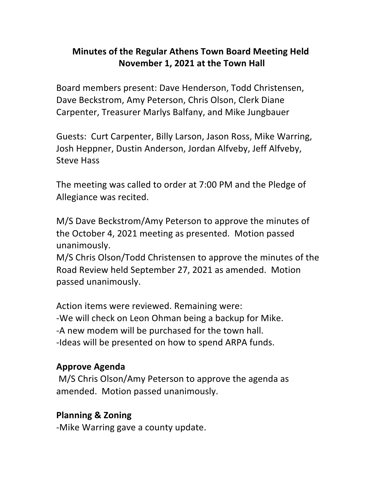#### **Minutes of the Regular Athens Town Board Meeting Held November 1, 2021 at the Town Hall**

Board members present: Dave Henderson, Todd Christensen, Dave Beckstrom, Amy Peterson, Chris Olson, Clerk Diane Carpenter, Treasurer Marlys Balfany, and Mike Jungbauer

Guests: Curt Carpenter, Billy Larson, Jason Ross, Mike Warring, Josh Heppner, Dustin Anderson, Jordan Alfveby, Jeff Alfveby, Steve Hass

The meeting was called to order at 7:00 PM and the Pledge of Allegiance was recited.

M/S Dave Beckstrom/Amy Peterson to approve the minutes of the October 4, 2021 meeting as presented. Motion passed unanimously.

M/S Chris Olson/Todd Christensen to approve the minutes of the Road Review held September 27, 2021 as amended. Motion passed unanimously.

Action items were reviewed. Remaining were: -We will check on Leon Ohman being a backup for Mike. -A new modem will be purchased for the town hall. -Ideas will be presented on how to spend ARPA funds.

#### **Approve Agenda**

M/S Chris Olson/Amy Peterson to approve the agenda as amended. Motion passed unanimously.

#### **Planning & Zoning**

-Mike Warring gave a county update.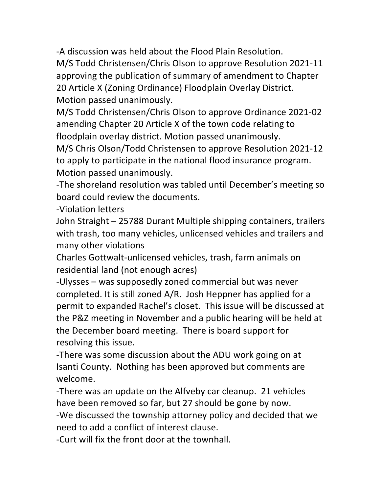-A discussion was held about the Flood Plain Resolution.

M/S Todd Christensen/Chris Olson to approve Resolution 2021-11 approving the publication of summary of amendment to Chapter 20 Article X (Zoning Ordinance) Floodplain Overlay District. Motion passed unanimously.

M/S Todd Christensen/Chris Olson to approve Ordinance 2021-02 amending Chapter 20 Article X of the town code relating to floodplain overlay district. Motion passed unanimously.

M/S Chris Olson/Todd Christensen to approve Resolution 2021-12 to apply to participate in the national flood insurance program. Motion passed unanimously.

-The shoreland resolution was tabled until December's meeting so board could review the documents.

-Violation letters

John Straight - 25788 Durant Multiple shipping containers, trailers with trash, too many vehicles, unlicensed vehicles and trailers and many other violations

Charles Gottwalt-unlicensed vehicles, trash, farm animals on residential land (not enough acres)

-Ulysses – was supposedly zoned commercial but was never completed. It is still zoned  $A/R$ . Josh Heppner has applied for a permit to expanded Rachel's closet. This issue will be discussed at the P&Z meeting in November and a public hearing will be held at the December board meeting. There is board support for resolving this issue.

-There was some discussion about the ADU work going on at Isanti County. Nothing has been approved but comments are welcome.

-There was an update on the Alfveby car cleanup. 21 vehicles have been removed so far, but 27 should be gone by now.

-We discussed the township attorney policy and decided that we need to add a conflict of interest clause.

-Curt will fix the front door at the townhall.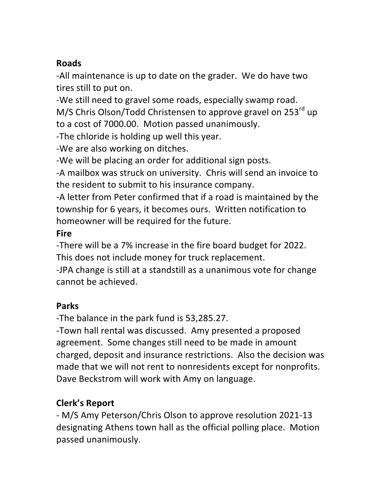#### **Roads**

-All maintenance is up to date on the grader. We do have two tires still to put on.

-We still need to gravel some roads, especially swamp road. M/S Chris Olson/Todd Christensen to approve gravel on 253<sup>rd</sup> up to a cost of 7000.00. Motion passed unanimously.

-The chloride is holding up well this year.

-We are also working on ditches.

-We will be placing an order for additional sign posts.

-A mailbox was struck on university. Chris will send an invoice to the resident to submit to his insurance company.

-A letter from Peter confirmed that if a road is maintained by the township for 6 years, it becomes ours. Written notification to homeowner will be required for the future.

# **Fire**

-There will be a 7% increase in the fire board budget for 2022. This does not include money for truck replacement.

-JPA change is still at a standstill as a unanimous vote for change cannot be achieved.

# **Parks**

-The balance in the park fund is 53,285.27.

-Town hall rental was discussed. Amy presented a proposed agreement. Some changes still need to be made in amount charged, deposit and insurance restrictions. Also the decision was made that we will not rent to nonresidents except for nonprofits. Dave Beckstrom will work with Amy on language.

# **Clerk's Report**

- M/S Amy Peterson/Chris Olson to approve resolution 2021-13 designating Athens town hall as the official polling place. Motion passed unanimously.